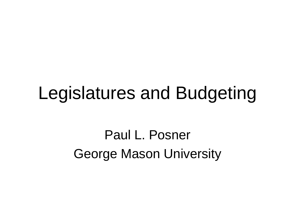#### Legislatures and Budgeting

Paul L. Posner George Mason University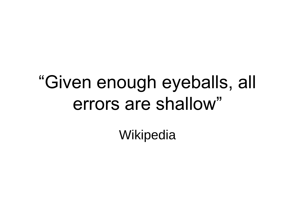# "Given enough eyeballs, all errors are shallow"

**Wikipedia**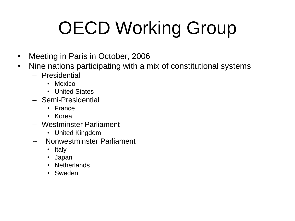# OECD Working Group

- Meeting in Paris in October, 2006
- Nine nations participating with a mix of constitutional systems
	- Presidential
		- Mexico
		- United States
	- Semi-Presidential
		- France
		- Korea
	- Westminster Parliament
		- United Kingdom
	- -- Nonwestminster Parliament
		- Italy
		- Japan
		- Netherlands
		- Sweden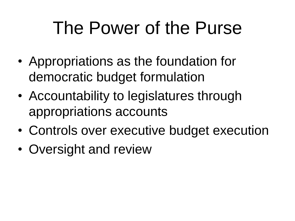## The Power of the Purse

- Appropriations as the foundation for democratic budget formulation
- Accountability to legislatures through appropriations accounts
- Controls over executive budget execution
- Oversight and review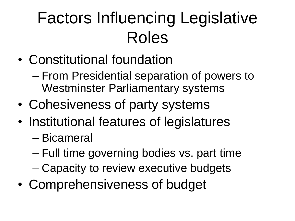#### Factors Influencing Legislative Roles

- Constitutional foundation
	- From Presidential separation of powers to Westminster Parliamentary systems
- Cohesiveness of party systems
- Institutional features of legislatures
	- Bicameral
	- Full time governing bodies vs. part time
	- Capacity to review executive budgets
- Comprehensiveness of budget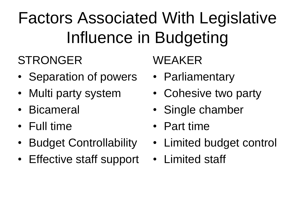## Factors Associated With Legislative Influence in Budgeting

#### **STRONGER**

- Separation of powers
- Multi party system
- Bicameral
- Full time
- Budget Controllability
- Effective staff support

WEAKER

- Parliamentary
- Cohesive two party
- Single chamber
- Part time
- Limited budget control
- Limited staff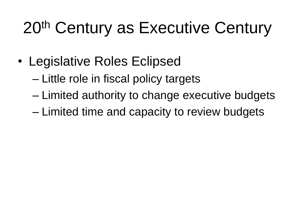#### 20<sup>th</sup> Century as Executive Century

- Legislative Roles Eclipsed
	- Little role in fiscal policy targets
	- Limited authority to change executive budgets
	- Limited time and capacity to review budgets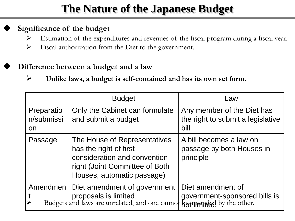#### **The Nature of the Japanese Budget**

#### **Significance of the budget**

- Estimation of the expenditures and revenues of the fiscal program during a fiscal year.
- Fiscal authorization from the Diet to the government.

#### **Difference between a budget and a law**

**Unlike laws, a budget is self-contained and has its own set form.**

|                                | <b>Budget</b>                                                                                                                                                  | Law                                                                     |
|--------------------------------|----------------------------------------------------------------------------------------------------------------------------------------------------------------|-------------------------------------------------------------------------|
| Preparatio<br>n/submissi<br>on | Only the Cabinet can formulate<br>and submit a budget                                                                                                          | Any member of the Diet has<br>the right to submit a legislative<br>bill |
| Passage                        | The House of Representatives<br>has the right of first<br>consideration and convention<br>right (Joint Committee of Both<br>Houses, automatic passage)         | A bill becomes a law on<br>passage by both Houses in<br>principle       |
| Amendmen                       | Diet amendment of government<br>proposals is limited. government-sponsored bills is Budgets and laws are unrelated, and one cannot have appeared by the other. | Diet amendment of                                                       |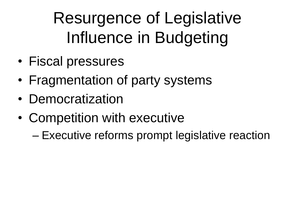Resurgence of Legislative Influence in Budgeting

- Fiscal pressures
- Fragmentation of party systems
- Democratization
- Competition with executive
	- Executive reforms prompt legislative reaction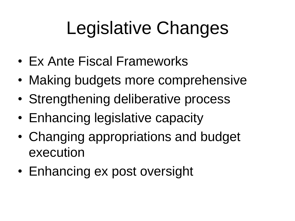# Legislative Changes

- Ex Ante Fiscal Frameworks
- Making budgets more comprehensive
- Strengthening deliberative process
- Enhancing legislative capacity
- Changing appropriations and budget execution
- Enhancing ex post oversight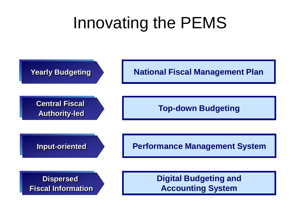#### Innovating the PEMS

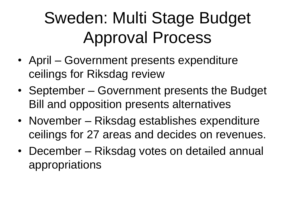#### Sweden: Multi Stage Budget Approval Process

- April Government presents expenditure ceilings for Riksdag review
- September Government presents the Budget Bill and opposition presents alternatives
- November Riksdag establishes expenditure ceilings for 27 areas and decides on revenues.
- December Riksdag votes on detailed annual appropriations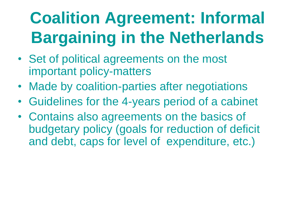## **Coalition Agreement: Informal Bargaining in the Netherlands**

- Set of political agreements on the most important policy-matters
- Made by coalition-parties after negotiations
- Guidelines for the 4-years period of a cabinet
- Contains also agreements on the basics of budgetary policy (goals for reduction of deficit and debt, caps for level of expenditure, etc.)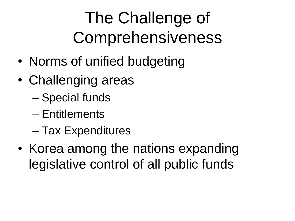### The Challenge of Comprehensiveness

- Norms of unified budgeting
- Challenging areas
	- Special funds
	- Entitlements
	- Tax Expenditures
- Korea among the nations expanding legislative control of all public funds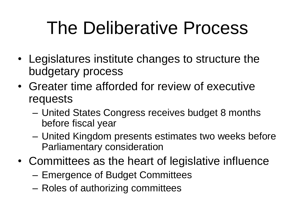## The Deliberative Process

- Legislatures institute changes to structure the budgetary process
- Greater time afforded for review of executive requests
	- United States Congress receives budget 8 months before fiscal year
	- United Kingdom presents estimates two weeks before Parliamentary consideration
- Committees as the heart of legislative influence
	- Emergence of Budget Committees
	- Roles of authorizing committees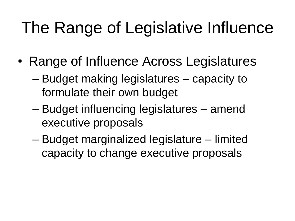#### The Range of Legislative Influence

- Range of Influence Across Legislatures
	- Budget making legislatures capacity to formulate their own budget
	- Budget influencing legislatures amend executive proposals
	- Budget marginalized legislature limited capacity to change executive proposals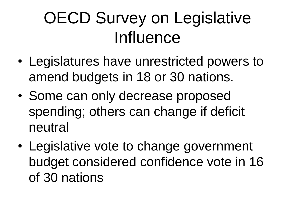#### OECD Survey on Legislative **Influence**

- Legislatures have unrestricted powers to amend budgets in 18 or 30 nations.
- Some can only decrease proposed spending; others can change if deficit neutral
- Legislative vote to change government budget considered confidence vote in 16 of 30 nations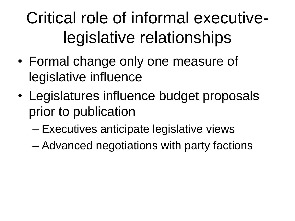#### Critical role of informal executivelegislative relationships

- Formal change only one measure of legislative influence
- Legislatures influence budget proposals prior to publication
	- Executives anticipate legislative views
	- Advanced negotiations with party factions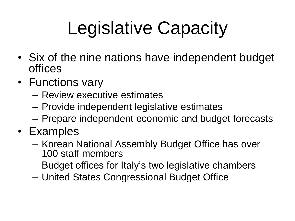# Legislative Capacity

- Six of the nine nations have independent budget offices
- Functions vary
	- Review executive estimates
	- Provide independent legislative estimates
	- Prepare independent economic and budget forecasts
- Examples
	- Korean National Assembly Budget Office has over 100 staff members
	- Budget offices for Italy's two legislative chambers
	- United States Congressional Budget Office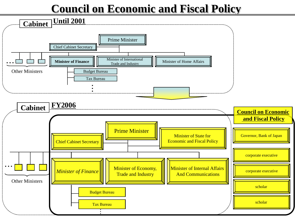#### **Council on Economic and Fiscal Policy**

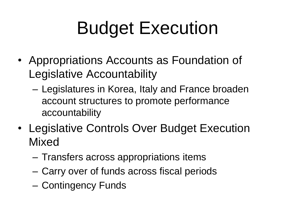# Budget Execution

- Appropriations Accounts as Foundation of Legislative Accountability
	- Legislatures in Korea, Italy and France broaden account structures to promote performance accountability
- Legislative Controls Over Budget Execution Mixed
	- Transfers across appropriations items
	- Carry over of funds across fiscal periods
	- Contingency Funds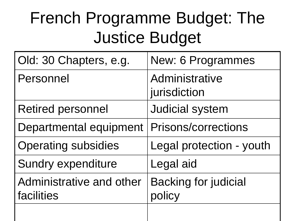#### French Programme Budget: The Justice Budget

| Old: 30 Chapters, e.g.                 | New: 6 Programmes                     |  |
|----------------------------------------|---------------------------------------|--|
| Personnel                              | Administrative<br>jurisdiction        |  |
| <b>Retired personnel</b>               | <b>Judicial system</b>                |  |
| Departmental equipment                 | <b>Prisons/corrections</b>            |  |
| <b>Operating subsidies</b>             | Legal protection - youth              |  |
| <b>Sundry expenditure</b>              | Legal aid                             |  |
| Administrative and other<br>facilities | <b>Backing for judicial</b><br>policy |  |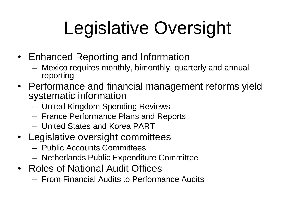# Legislative Oversight

- Enhanced Reporting and Information
	- Mexico requires monthly, bimonthly, quarterly and annual reporting
- Performance and financial management reforms yield systematic information
	- United Kingdom Spending Reviews
	- France Performance Plans and Reports
	- United States and Korea PART
- Legislative oversight committees
	- Public Accounts Committees
	- Netherlands Public Expenditure Committee
- Roles of National Audit Offices
	- From Financial Audits to Performance Audits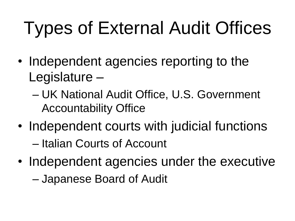# Types of External Audit Offices

- Independent agencies reporting to the Legislature –
	- UK National Audit Office, U.S. Government Accountability Office
- Independent courts with judicial functions – Italian Courts of Account
- Independent agencies under the executive

– Japanese Board of Audit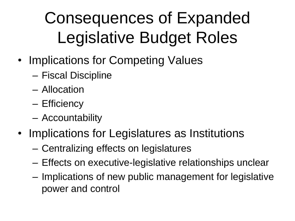## Consequences of Expanded Legislative Budget Roles

- Implications for Competing Values
	- Fiscal Discipline
	- Allocation
	- Efficiency
	- Accountability
- Implications for Legislatures as Institutions
	- Centralizing effects on legislatures
	- Effects on executive-legislative relationships unclear
	- Implications of new public management for legislative power and control